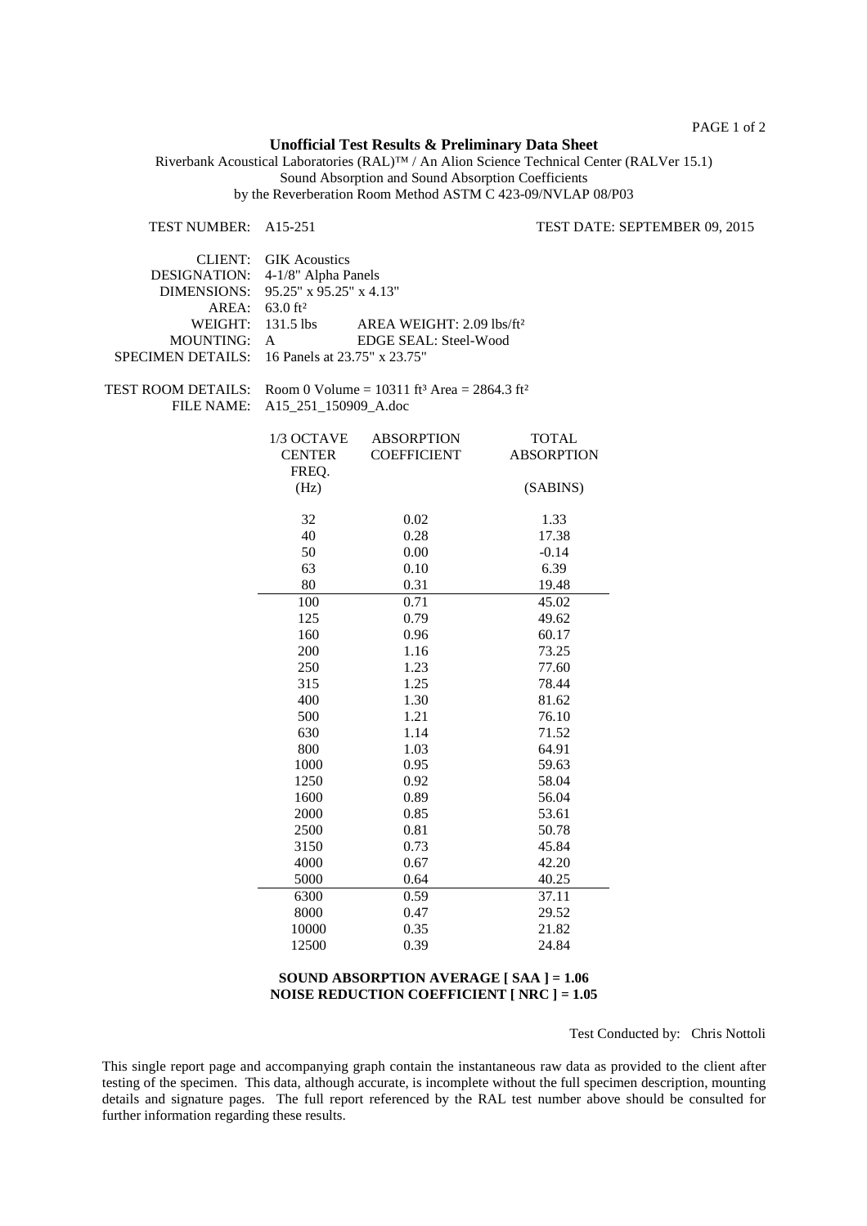PAGE 1 of 2

## **Unofficial Test Results & Preliminary Data Sheet**

Riverbank Acoustical Laboratories (RAL)™ / An Alion Science Technical Center (RALVer 15.1) Sound Absorption and Sound Absorption Coefficients by the Reverberation Room Method ASTM C 423-09/NVLAP 08/P03

TEST NUMBER: A15-251 TEST DATE: SEPTEMBER 09, 2015 CLIENT: GIK Acoustics DESIGNATION: 4-1/8" Alpha Panels DIMENSIONS: 95.25" x 95.25" x 4.13" AREA: 63.0 ft² WEIGHT: 131.5 lbs AREA WEIGHT: 2.09 lbs/ft<sup>2</sup> MOUNTING: A EDGE SEAL: Steel-Wood SPECIMEN DETAILS: 16 Panels at 23.75" x 23.75" TEST ROOM DETAILS: Room 0 Volume =  $10311$  ft<sup>3</sup> Area =  $2864.3$  ft<sup>2</sup> FILE NAME: A15\_251\_150909\_A.doc 1/3 OCTAVE ABSORPTION TOTAL CENTER COEFFICIENT ABSORPTION FREQ. (Hz) (SABINS) 32 0.02 1.33 40 0.28 17.38 50 0.00 -0.14<br>63 0.10 6.39 63 0.10 6.39 80 0.31 19.48 100 0.71 45.02 125 0.79 49.62 160 0.96 60.17 200 1.16 73.25 250 1.23 77.60 315 1.25 78.44 400 1.30 81.62 500 1.21 76.10 630 1.14 71.52 800 1.03 64.91 1000 0.95 59.63 1250 0.92 58.04 1600 0.89 56.04 2000 0.85 53.61 2500 0.81 50.78 3150 0.73 45.84 4000 0.67 42.20 5000 0.64 40.25 6300 0.59 37.11 8000 0.47 29.52 10000 0.35 21.82 12500 0.39 24.84

## **SOUND ABSORPTION AVERAGE [ SAA ] = 1.06 NOISE REDUCTION COEFFICIENT [ NRC ] = 1.05**

Test Conducted by: Chris Nottoli

This single report page and accompanying graph contain the instantaneous raw data as provided to the client after testing of the specimen. This data, although accurate, is incomplete without the full specimen description, mounting details and signature pages. The full report referenced by the RAL test number above should be consulted for further information regarding these results.